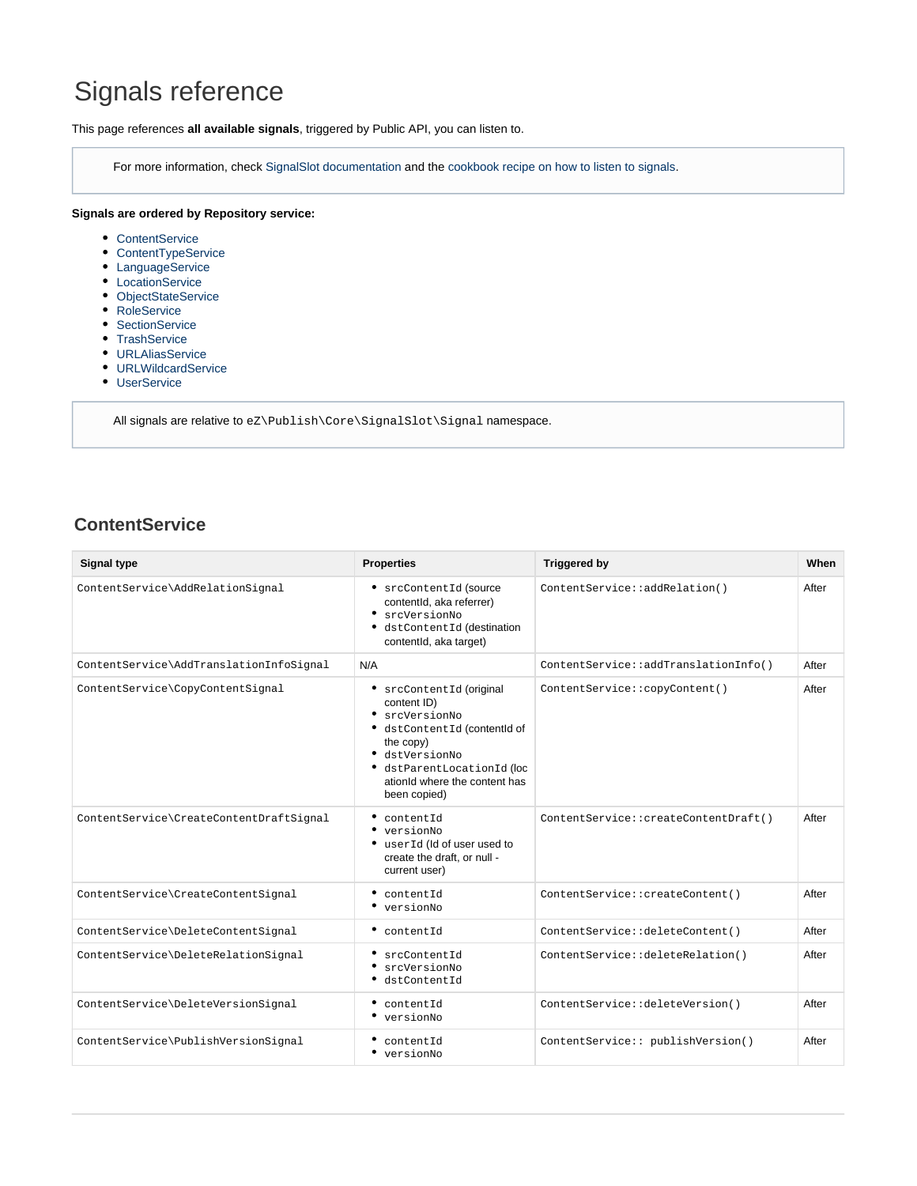# Signals reference

This page references **all available signals**, triggered by Public API, you can listen to.

For more information, check [SignalSlot documentation](https://doc.ez.no/display/EZP/Signal-Slot) and the [cookbook recipe on how to listen to signals](https://doc.ez.no/display/EZP/How+to+listen+to+Core+events).

#### **Signals are ordered by Repository service:**

- [ContentService](#page-0-0)
- [ContentTypeService](#page-1-0)
- [LanguageService](#page-1-1)
- [LocationService](#page-1-2)
- [ObjectStateService](#page-2-0)
- [RoleService](#page-2-1)
- [SectionService](#page-2-2)
- [TrashService](#page-3-0)
- [URLAliasService](#page-3-1)
- [URLWildcardService](#page-3-2)
- [UserService](#page-3-3)

All signals are relative to ez\Publish\Core\SignalSlot\Signal namespace.

#### <span id="page-0-0"></span>**ContentService**

| Signal type                             | <b>Properties</b>                                                                                                                                                                                               | <b>Triggered by</b>                  | When  |
|-----------------------------------------|-----------------------------------------------------------------------------------------------------------------------------------------------------------------------------------------------------------------|--------------------------------------|-------|
| ContentService\AddRelationSignal        | • srcContentId (source<br>contentId, aka referrer)<br>· srcVersionNo<br>· dstContentId (destination<br>contentId, aka target)                                                                                   | ContentService::addRelation()        | After |
| ContentService\AddTranslationInfoSignal | N/A                                                                                                                                                                                                             | ContentService::addTranslationInfo() | After |
| ContentService\CopyContentSignal        | • srcContentId (original<br>content ID)<br>$\bullet$ srcVersionNo<br>· dstContentId (contentId of<br>the copy)<br>· dstVersionNo<br>· dstParentLocationId (loc<br>ationId where the content has<br>been copied) | ContentService::copyContent()        | After |
| ContentService\CreateContentDraftSignal | contentId<br>$\bullet$ versionNo<br>• userId (Id of user used to<br>create the draft, or null -<br>current user)                                                                                                | ContentService::createContentDraft() | After |
| ContentService\CreateContentSignal      | • contentId<br>• versionNo                                                                                                                                                                                      | ContentService::createContent()      | After |
| ContentService\DeleteContentSignal      | $^{\bullet}$ content. Id                                                                                                                                                                                        | ContentService::deleteContent()      | After |
| ContentService\DeleteRelationSignal     | ٠<br>srcContentId<br>srcVersionNo<br>dstContentId                                                                                                                                                               | ContentService::deleteRelation()     | After |
| ContentService\DeleteVersionSignal      | $\bullet$ contentId<br>• versionNo                                                                                                                                                                              | ContentService::deleteVersion()      | After |
| ContentService\PublishVersionSignal     | contentId<br>$\bullet$ versionNo                                                                                                                                                                                | ContentService:: publishVersion()    | After |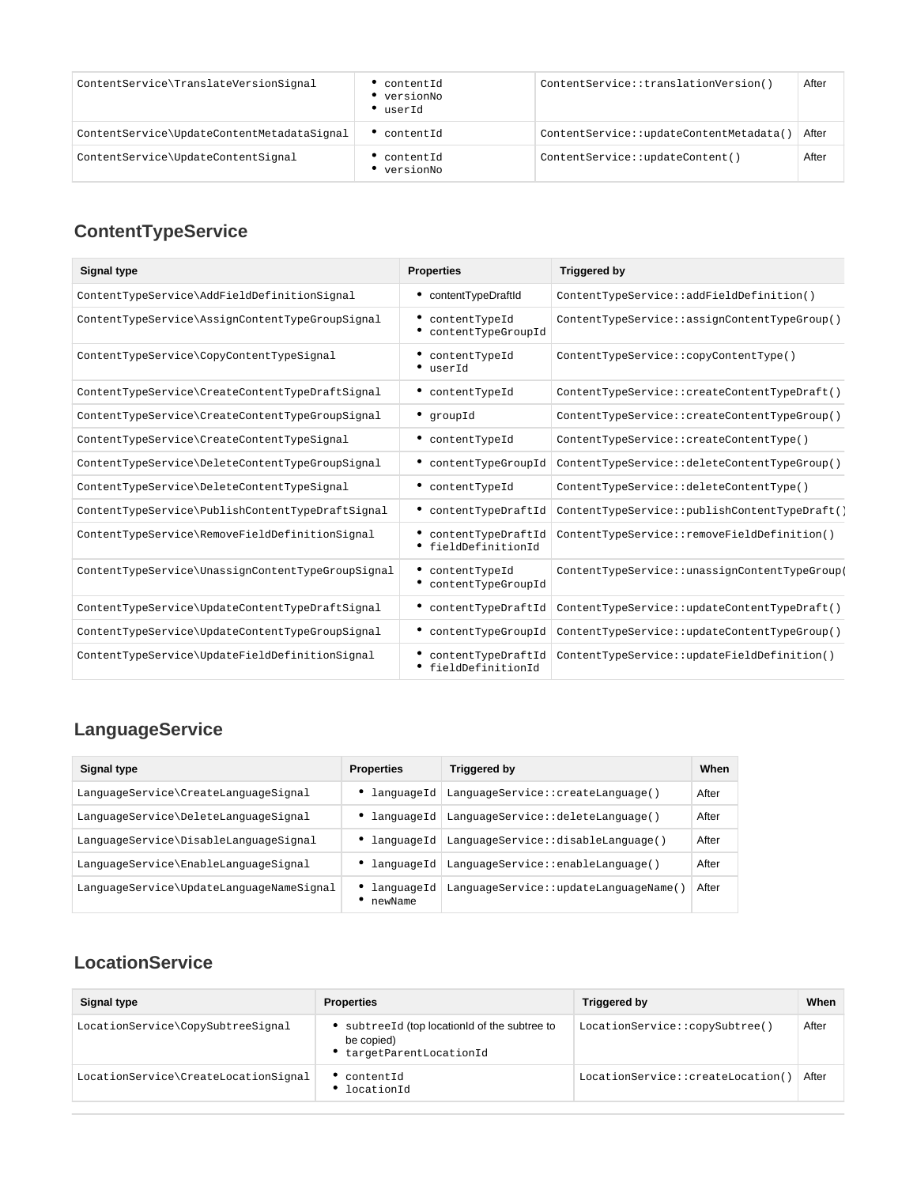| ContentService\TranslateVersionSignal      | contentId<br>versionNo<br>userId | ContentService::translationVersion()   | After |
|--------------------------------------------|----------------------------------|----------------------------------------|-------|
| ContentService\UpdateContentMetadataSignal | content.Id                       | ContentService::updateContentMetadata( | After |
| ContentService\UpdateContentSignal         | contentId<br>versionNo           | ContentService::updateContent()        | After |

# <span id="page-1-0"></span>**ContentTypeService**

| <b>Signal type</b>                                | <b>Properties</b>                                  | <b>Triggered by</b>                           |
|---------------------------------------------------|----------------------------------------------------|-----------------------------------------------|
| ContentTypeService\AddFieldDefinitionSignal       | • contentTypeDraftId                               | ContentTypeService::addFieldDefinition()      |
| ContentTypeService\AssignContentTypeGroupSignal   | contentTypeId<br>• contentTypeGroupId              | ContentTypeService::assignContentTypeGroup()  |
| ContentTypeService\CopyContentTypeSignal          | contentTypeId<br>• userId                          | ContentTypeService::copyContentType()         |
| ContentTypeService\CreateContentTypeDraftSignal   | • contentTypeId                                    | ContentTypeService::createContentTypeDraft()  |
| ContentTypeService\CreateContentTypeGroupSignal   | • groupId                                          | ContentTypeService::createContentTypeGroup()  |
| ContentTypeService\CreateContentTypeSignal        | • contentTypeId                                    | ContentTypeService::createContentType()       |
| ContentTypeService\DeleteContentTypeGroupSignal   | • contentTypeGroupId                               | ContentTypeService::deleteContentTypeGroup()  |
| ContentTypeService\DeleteContentTypeSignal        | • contentTypeId                                    | ContentTypeService::deleteContentType()       |
| ContentTypeService\PublishContentTypeDraftSignal  | contentTypeDraftId                                 | ContentTypeService::publishContentTypeDraft() |
| ContentTypeService\RemoveFieldDefinitionSignal    | • contentTypeDraftId<br><i>•</i> fieldDefinitionId | ContentTypeService::removeFieldDefinition()   |
| ContentTypeService\UnassignContentTypeGroupSignal | contentTypeId<br>contentTypeGroupId                | ContentTypeService::unassignContentTypeGroup  |
| ContentTypeService\UpdateContentTypeDraftSignal   | • contentTypeDraftId                               | ContentTypeService::updateContentTypeDraft()  |
| ContentTypeService\UpdateContentTypeGroupSignal   | · contentTypeGroupId                               | ContentTypeService::updateContentTypeGroup()  |
| ContentTypeService\UpdateFieldDefinitionSignal    | contentTypeDraftId<br><i>•</i> fieldDefinitionId   | ContentTypeService::updateFieldDefinition()   |

# <span id="page-1-1"></span>**LanguageService**

| <b>Signal type</b>                       | <b>Properties</b>     | Triggered by                                     | When  |
|------------------------------------------|-----------------------|--------------------------------------------------|-------|
| LanguageService\CreateLanguageSignal     |                       | • languageId LanguageService::createLanguage()   | After |
| LanguageService\DeleteLanguageSignal     |                       | • languageId   LanguageService::deleteLanguage() | After |
| LanguageService\DisableLanguageSignal    |                       | • languageId LanguageService::disableLanguage()  | After |
| LanguageService\EnableLanguageSignal     |                       | • languageId   LanguageService::enableLanguage() | After |
| LanguageService\UpdateLanguageNameSignal | languageId<br>newName | LanguageService::updateLanguageName(             | After |

## <span id="page-1-2"></span>**LocationService**

| Signal type                          | <b>Properties</b>                                                                   | Triggered by                      | When  |
|--------------------------------------|-------------------------------------------------------------------------------------|-----------------------------------|-------|
| LocationService\CopySubtreeSignal    | subtreeId (top locationId of the subtree to<br>be copied)<br>targetParentLocationId | LocationService::copySubtree()    | After |
| LocationService\CreateLocationSignal | contentId<br>locationId                                                             | LocationService::createLocation() | After |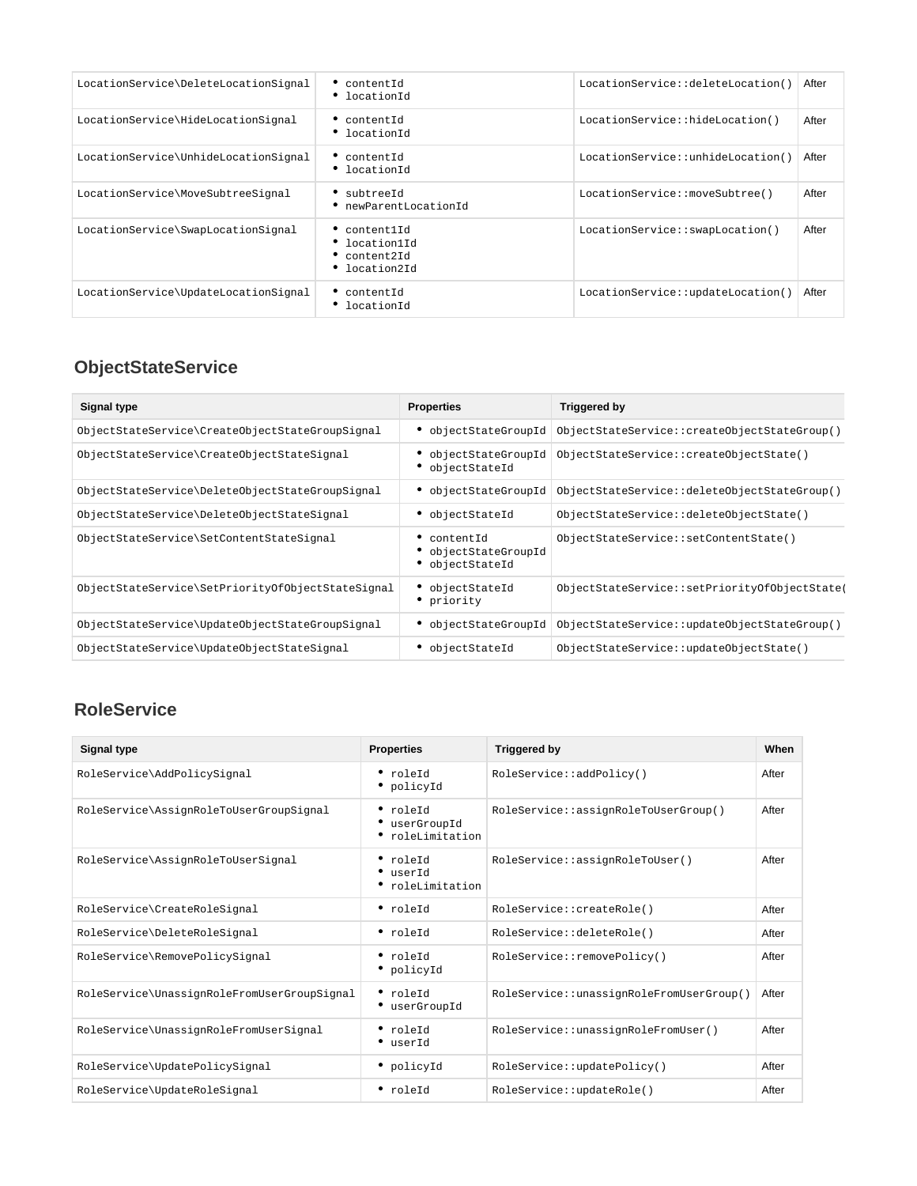| LocationService\DeleteLocationSignal | $^{\bullet}$ contentId<br>• locationId                     | LocationService::deleteLocation() | After |
|--------------------------------------|------------------------------------------------------------|-----------------------------------|-------|
| LocationService\HideLocationSignal   | • contentId<br>• locationId                                | LocationService::hideLocation()   | After |
| LocationService\UnhideLocationSignal | • contentId<br>• locationId                                | LocationService::unhideLocation() | After |
| LocationService\MoveSubtreeSignal    | • subtreeId<br>newParentLocationId                         | LocationService::moveSubtree()    | After |
| LocationService\SwapLocationSignal   | content1Id<br>location1Id<br>• content2Id<br>• location2Id | LocationService::swapLocation()   | After |
| LocationService\UpdateLocationSignal | contentId<br>locationId                                    | LocationService::updateLocation() | After |

# <span id="page-2-0"></span>**ObjectStateService**

| Signal type                                       | <b>Properties</b>                                | Triggered by                                 |
|---------------------------------------------------|--------------------------------------------------|----------------------------------------------|
| ObjectStateService\CreateObjectStateGroupSignal   | objectStateGroupId                               | ObjectStateService::createObjectStateGroup() |
| ObjectStateService\CreateObjectStateSignal        | objectStateGroupId<br>objectStateId              | ObjectStateService::createObjectState()      |
| ObjectStateService\DeleteObjectStateGroupSignal   | • objectStateGroupId                             | ObjectStateService::deleteObjectStateGroup() |
| ObjectStateService\DeleteObjectStateSignal        | objectStateId                                    | ObjectStateService::deleteObjectState()      |
| ObjectStateService\SetContentStateSignal          | contentId<br>objectStateGroupId<br>objectStateId | ObjectStateService::setContentState()        |
| ObjectStateService\SetPriorityOfObjectStateSignal | objectStateId<br>priority                        | ObjectStateService::setPriorityOfObjectState |
| ObjectStateService\UpdateObjectStateGroupSignal   | objectStateGroupId                               | ObjectStateService::updateObjectStateGroup() |
| ObjectStateService\UpdateObjectStateSignal        | objectStateId                                    | ObjectStateService::updateObjectState()      |

#### <span id="page-2-1"></span>**RoleService**

<span id="page-2-2"></span>

| Signal type                                 | <b>Properties</b>                             | <b>Triggered by</b>                      | When  |
|---------------------------------------------|-----------------------------------------------|------------------------------------------|-------|
| RoleService\AddPolicySignal                 | • roleId<br>• policyId                        | RoleService::addPolicy()                 | After |
| RoleService\AssignRoleToUserGroupSignal     | • roleId<br>• userGroupId<br>• roleLimitation | RoleService::assignRoleToUserGroup()     | After |
| RoleService\AssignRoleToUserSignal          | • roleId<br>• userId<br>• roleLimitation      | RoleService::assignRoleToUser()          | After |
| RoleService\CreateRoleSignal                | · roleId                                      | RoleService::createRole()                | After |
| RoleService\DeleteRoleSignal                | • roleId                                      | RoleService::deleteRole()                | After |
| RoleService\RemovePolicySignal              | $^{\bullet}$ roleId<br>• policyId             | RoleService::removePolicy()              | After |
| RoleService\UnassignRoleFromUserGroupSignal | $^{\bullet}$ roleId<br>• userGroupId          | RoleService::unassignRoleFromUserGroup() | After |
| RoleService\UnassignRoleFromUserSignal      | • roleId<br>• userId                          | RoleService::unassignRoleFromUser()      | After |
| RoleService\UpdatePolicySignal              | • policyId                                    | RoleService::updatePolicy()              | After |
| RoleService\UpdateRoleSignal                | · roleId                                      | RoleService::updateRole()                | After |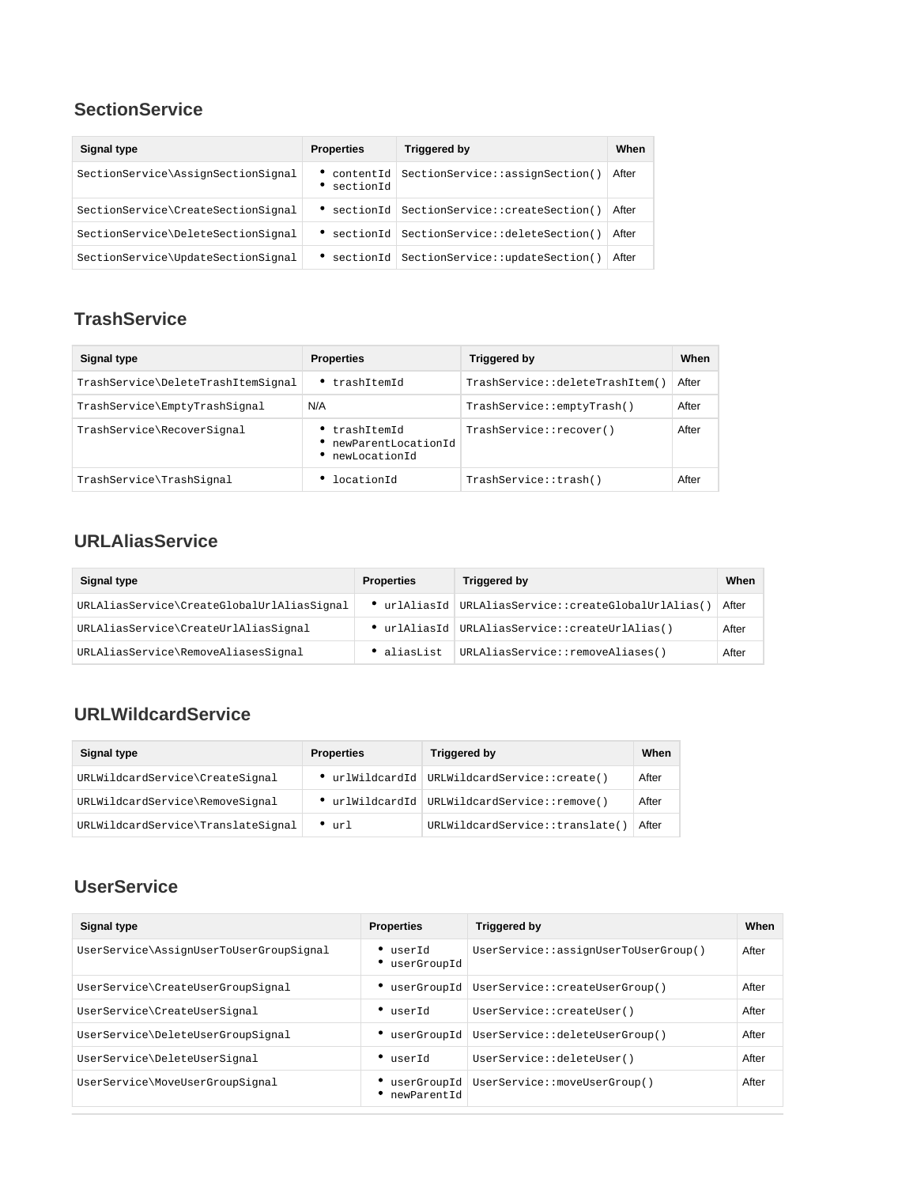#### **SectionService**

| Signal type                        | <b>Properties</b>      | Triggered by                              | When  |
|------------------------------------|------------------------|-------------------------------------------|-------|
| SectionService\AssignSectionSignal | contentId<br>sectionId | SectionService::assignSection()           | After |
| SectionService\CreateSectionSignal |                        | sectionId SectionService::createSection() | After |
| SectionService\DeleteSectionSignal |                        | sectionId SectionService::deleteSection() | After |
| SectionService\UpdateSectionSignal |                        | sectionId SectionService::updateSection() | After |

#### <span id="page-3-0"></span>**TrashService**

| Signal type                        | <b>Properties</b>                                   | Triggered by                    | When  |
|------------------------------------|-----------------------------------------------------|---------------------------------|-------|
| TrashService\DeleteTrashItemSignal | trashItemId                                         | TrashService::deleteTrashItem() | After |
| TrashService\EmptyTrashSignal      | N/A                                                 | TrashService::emptyTrash()      | After |
| TrashService\RecoverSignal         | trashItemId<br>newParentLocationId<br>newLocationId | TrashService::recover()         | After |
| TrashService\TrashSignal           | locationId                                          | TrashService::trash()           | After |

#### <span id="page-3-1"></span>**URLAliasService**

| Signal type                                | <b>Properties</b> | Triggered by                                         | When  |
|--------------------------------------------|-------------------|------------------------------------------------------|-------|
| URLAliasService\CreateGlobalUrlAliasSignal |                   | • urlAliasId URLAliasService::createGlobalUrlAlias() | After |
| URLAliasService\CreateUrlAliasSignal       |                   | • urlAliasId   URLAliasService::createUrlAlias()     | After |
| URLAliasService\RemoveAliasesSignal        | • aliasList       | URLAliasService::removeAliases()                     | After |

### <span id="page-3-2"></span>**URLWildcardService**

| Signal type                        | <b>Properties</b> | Triggered by                                 | When  |
|------------------------------------|-------------------|----------------------------------------------|-------|
| URLWildcardService\CreateSignal    |                   | urlWildcardId   URLWildcardService::create() | After |
| URLWildcardService\RemoveSignal    |                   | ● urlWildcardId URLWildcardService::remove() | After |
| URLWildcardService\TranslateSignal | $^{\bullet}$ url  | URLWildcardService::translate(               | After |

#### <span id="page-3-3"></span>**UserService**

| Signal type                             | <b>Properties</b>                 | <b>Triggered by</b>                          | When  |
|-----------------------------------------|-----------------------------------|----------------------------------------------|-------|
| UserService\AssignUserToUserGroupSignal | $\bullet$ userId<br>• userGroupId | UserService::assignUserToUserGroup()         | After |
| UserService\CreateUserGroupSignal       |                                   | • userGroupId UserService::createUserGroup() | After |
| UserService\CreateUserSignal            | $\bullet$ userId                  | UserService::createUser()                    | After |
| UserService\DeleteUserGroupSignal       |                                   | • userGroupId UserService::deleteUserGroup() | After |
| UserService\DeleteUserSignal            | $\bullet$ userId                  | UserService::deleteUser()                    | After |
| UserService\MoveUserGroupSignal         | newParentId                       | ● userGroupId UserService::moveUserGroup()   | After |